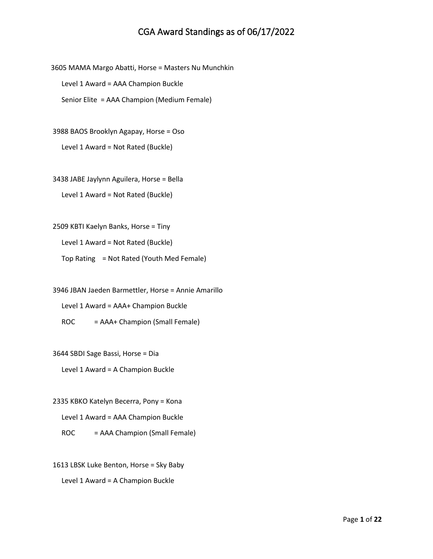3605 MAMA Margo Abatti, Horse = Masters Nu Munchkin Level 1 Award = AAA Champion Buckle Senior Elite = AAA Champion (Medium Female)

3988 BAOS Brooklyn Agapay, Horse = Oso Level 1 Award = Not Rated (Buckle)

3438 JABE Jaylynn Aguilera, Horse = Bella Level 1 Award = Not Rated (Buckle)

2509 KBTI Kaelyn Banks, Horse = Tiny

Level 1 Award = Not Rated (Buckle)

Top Rating = Not Rated (Youth Med Female)

3946 JBAN Jaeden Barmettler, Horse = Annie Amarillo

Level 1 Award = AAA+ Champion Buckle

ROC = AAA+ Champion (Small Female)

3644 SBDI Sage Bassi, Horse = Dia

Level 1 Award = A Champion Buckle

2335 KBKO Katelyn Becerra, Pony = Kona Level 1 Award = AAA Champion Buckle

ROC = AAA Champion (Small Female)

1613 LBSK Luke Benton, Horse = Sky Baby Level 1 Award = A Champion Buckle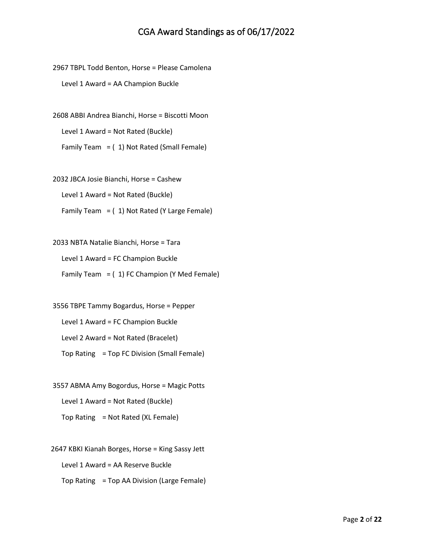2967 TBPL Todd Benton, Horse = Please Camolena Level 1 Award = AA Champion Buckle

2608 ABBI Andrea Bianchi, Horse = Biscotti Moon Level 1 Award = Not Rated (Buckle) Family Team = ( 1) Not Rated (Small Female)

2032 JBCA Josie Bianchi, Horse = Cashew Level 1 Award = Not Rated (Buckle) Family Team =  $(1)$  Not Rated (Y Large Female)

2033 NBTA Natalie Bianchi, Horse = Tara Level 1 Award = FC Champion Buckle Family Team  $=$  (1) FC Champion (Y Med Female)

3556 TBPE Tammy Bogardus, Horse = Pepper Level 1 Award = FC Champion Buckle Level 2 Award = Not Rated (Bracelet) Top Rating = Top FC Division (Small Female)

3557 ABMA Amy Bogordus, Horse = Magic Potts Level 1 Award = Not Rated (Buckle) Top Rating = Not Rated (XL Female)

2647 KBKI Kianah Borges, Horse = King Sassy Jett Level 1 Award = AA Reserve Buckle Top Rating = Top AA Division (Large Female)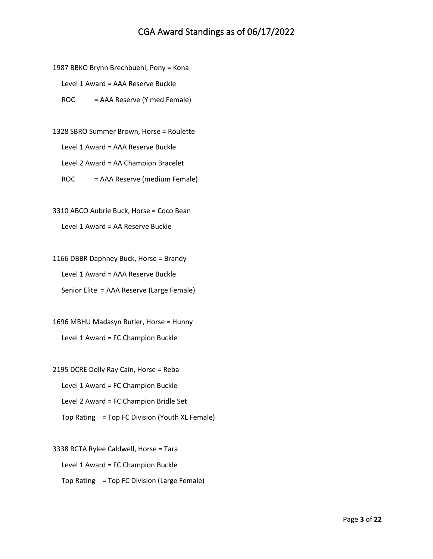1987 BBKO Brynn Brechbuehl, Pony = Kona

Level 1 Award = AAA Reserve Buckle

ROC = AAA Reserve (Y med Female)

1328 SBRO Summer Brown, Horse = Roulette Level 1 Award = AAA Reserve Buckle Level 2 Award = AA Champion Bracelet ROC = AAA Reserve (medium Female)

3310 ABCO Aubrie Buck, Horse = Coco Bean

Level 1 Award = AA Reserve Buckle

1166 DBBR Daphney Buck, Horse = Brandy Level 1 Award = AAA Reserve Buckle Senior Elite = AAA Reserve (Large Female)

1696 MBHU Madasyn Butler, Horse = Hunny Level 1 Award = FC Champion Buckle

2195 DCRE Dolly Ray Cain, Horse = Reba Level 1 Award = FC Champion Buckle Level 2 Award = FC Champion Bridle Set Top Rating = Top FC Division (Youth XL Female)

3338 RCTA Rylee Caldwell, Horse = Tara Level 1 Award = FC Champion Buckle Top Rating = Top FC Division (Large Female)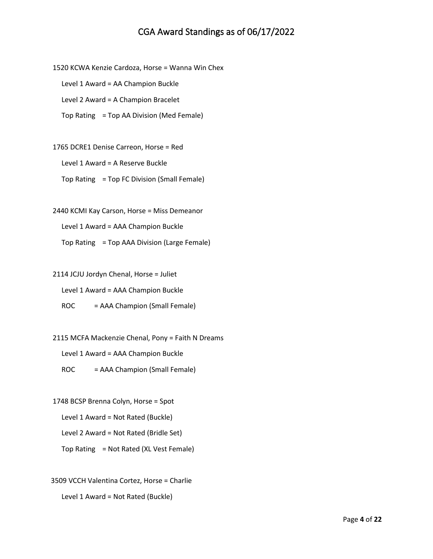1520 KCWA Kenzie Cardoza, Horse = Wanna Win Chex Level 1 Award = AA Champion Buckle Level 2 Award = A Champion Bracelet Top Rating = Top AA Division (Med Female)

1765 DCRE1 Denise Carreon, Horse = Red Level 1 Award = A Reserve Buckle Top Rating = Top FC Division (Small Female)

2440 KCMI Kay Carson, Horse = Miss Demeanor Level 1 Award = AAA Champion Buckle Top Rating = Top AAA Division (Large Female)

2114 JCJU Jordyn Chenal, Horse = Juliet

Level 1 Award = AAA Champion Buckle

ROC = AAA Champion (Small Female)

2115 MCFA Mackenzie Chenal, Pony = Faith N Dreams

Level 1 Award = AAA Champion Buckle

ROC = AAA Champion (Small Female)

1748 BCSP Brenna Colyn, Horse = Spot Level 1 Award = Not Rated (Buckle) Level 2 Award = Not Rated (Bridle Set) Top Rating = Not Rated (XL Vest Female)

3509 VCCH Valentina Cortez, Horse = Charlie Level 1 Award = Not Rated (Buckle)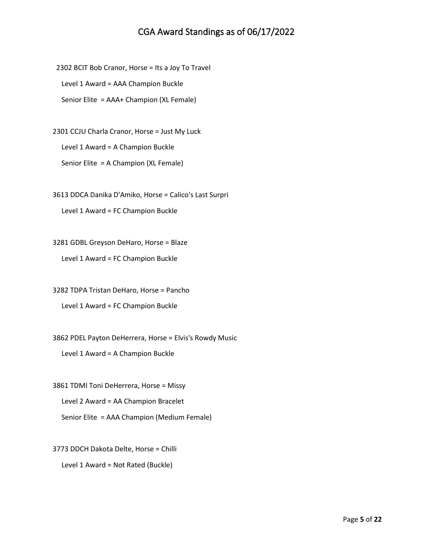2302 BCIT Bob Cranor, Horse = Its a Joy To Travel Level 1 Award = AAA Champion Buckle Senior Elite = AAA+ Champion (XL Female)

2301 CCJU Charla Cranor, Horse = Just My Luck Level 1 Award = A Champion Buckle Senior Elite = A Champion (XL Female)

3613 DDCA Danika D'Amiko, Horse = Calico's Last Surpri

Level 1 Award = FC Champion Buckle

3281 GDBL Greyson DeHaro, Horse = Blaze

Level 1 Award = FC Champion Buckle

3282 TDPA Tristan DeHaro, Horse = Pancho

Level 1 Award = FC Champion Buckle

3862 PDEL Payton DeHerrera, Horse = Elvis's Rowdy Music

Level 1 Award = A Champion Buckle

3861 TDMI Toni DeHerrera, Horse = Missy Level 2 Award = AA Champion Bracelet Senior Elite = AAA Champion (Medium Female)

3773 DDCH Dakota Delte, Horse = Chilli Level 1 Award = Not Rated (Buckle)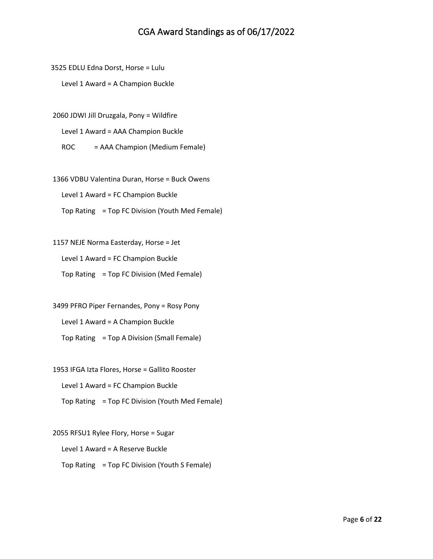3525 EDLU Edna Dorst, Horse = Lulu

Level 1 Award = A Champion Buckle

2060 JDWI Jill Druzgala, Pony = Wildfire

Level 1 Award = AAA Champion Buckle

ROC = AAA Champion (Medium Female)

1366 VDBU Valentina Duran, Horse = Buck Owens

Level 1 Award = FC Champion Buckle

Top Rating = Top FC Division (Youth Med Female)

1157 NEJE Norma Easterday, Horse = Jet Level 1 Award = FC Champion Buckle

Top Rating = Top FC Division (Med Female)

3499 PFRO Piper Fernandes, Pony = Rosy Pony Level 1 Award = A Champion Buckle Top Rating = Top A Division (Small Female)

1953 IFGA Izta Flores, Horse = Gallito Rooster Level 1 Award = FC Champion Buckle Top Rating = Top FC Division (Youth Med Female)

2055 RFSU1 Rylee Flory, Horse = Sugar Level 1 Award = A Reserve Buckle Top Rating = Top FC Division (Youth S Female)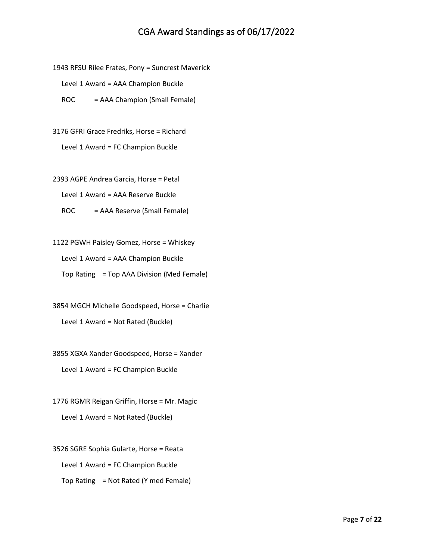1943 RFSU Rilee Frates, Pony = Suncrest Maverick

Level 1 Award = AAA Champion Buckle

ROC = AAA Champion (Small Female)

3176 GFRI Grace Fredriks, Horse = Richard

Level 1 Award = FC Champion Buckle

2393 AGPE Andrea Garcia, Horse = Petal

Level 1 Award = AAA Reserve Buckle

ROC = AAA Reserve (Small Female)

1122 PGWH Paisley Gomez, Horse = Whiskey Level 1 Award = AAA Champion Buckle Top Rating = Top AAA Division (Med Female)

3854 MGCH Michelle Goodspeed, Horse = Charlie Level 1 Award = Not Rated (Buckle)

3855 XGXA Xander Goodspeed, Horse = Xander Level 1 Award = FC Champion Buckle

1776 RGMR Reigan Griffin, Horse = Mr. Magic Level 1 Award = Not Rated (Buckle)

3526 SGRE Sophia Gularte, Horse = Reata Level 1 Award = FC Champion Buckle Top Rating = Not Rated (Y med Female)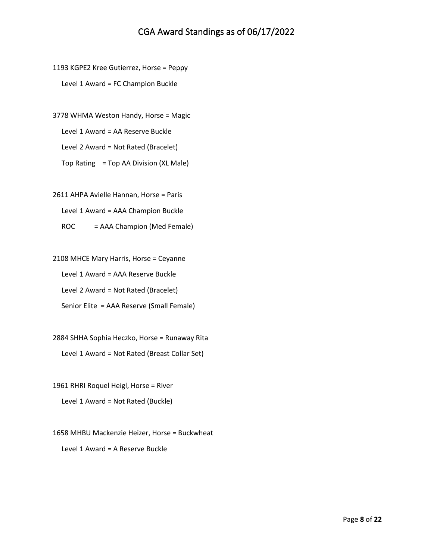1193 KGPE2 Kree Gutierrez, Horse = Peppy Level 1 Award = FC Champion Buckle

3778 WHMA Weston Handy, Horse = Magic

Level 1 Award = AA Reserve Buckle

Level 2 Award = Not Rated (Bracelet)

Top Rating = Top AA Division (XL Male)

2611 AHPA Avielle Hannan, Horse = Paris

Level 1 Award = AAA Champion Buckle

ROC = AAA Champion (Med Female)

2108 MHCE Mary Harris, Horse = Ceyanne Level 1 Award = AAA Reserve Buckle Level 2 Award = Not Rated (Bracelet)

Senior Elite = AAA Reserve (Small Female)

2884 SHHA Sophia Heczko, Horse = Runaway Rita Level 1 Award = Not Rated (Breast Collar Set)

1961 RHRI Roquel Heigl, Horse = River

Level 1 Award = Not Rated (Buckle)

1658 MHBU Mackenzie Heizer, Horse = Buckwheat Level 1 Award = A Reserve Buckle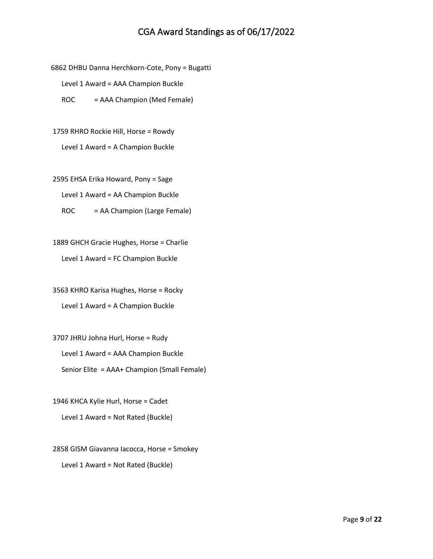6862 DHBU Danna Herchkorn-Cote, Pony = Bugatti

Level 1 Award = AAA Champion Buckle

ROC = AAA Champion (Med Female)

1759 RHRO Rockie Hill, Horse = Rowdy Level 1 Award = A Champion Buckle

2595 EHSA Erika Howard, Pony = Sage Level 1 Award = AA Champion Buckle

ROC = AA Champion (Large Female)

1889 GHCH Gracie Hughes, Horse = Charlie Level 1 Award = FC Champion Buckle

3563 KHRO Karisa Hughes, Horse = Rocky Level 1 Award = A Champion Buckle

3707 JHRU Johna Hurl, Horse = Rudy Level 1 Award = AAA Champion Buckle Senior Elite = AAA+ Champion (Small Female)

1946 KHCA Kylie Hurl, Horse = Cadet Level 1 Award = Not Rated (Buckle)

2858 GISM Giavanna Iacocca, Horse = Smokey Level 1 Award = Not Rated (Buckle)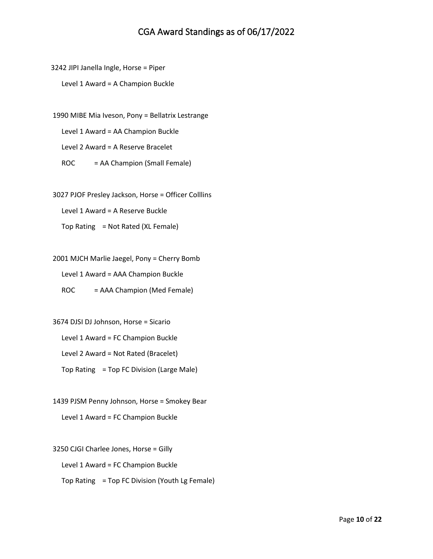3242 JIPI Janella Ingle, Horse = Piper Level 1 Award = A Champion Buckle

1990 MIBE Mia Iveson, Pony = Bellatrix Lestrange Level 1 Award = AA Champion Buckle Level 2 Award = A Reserve Bracelet ROC = AA Champion (Small Female)

3027 PJOF Presley Jackson, Horse = Officer Colllins Level 1 Award = A Reserve Buckle Top Rating = Not Rated (XL Female)

2001 MJCH Marlie Jaegel, Pony = Cherry Bomb Level 1 Award = AAA Champion Buckle ROC = AAA Champion (Med Female)

3674 DJSI DJ Johnson, Horse = Sicario Level 1 Award = FC Champion Buckle Level 2 Award = Not Rated (Bracelet) Top Rating = Top FC Division (Large Male)

1439 PJSM Penny Johnson, Horse = Smokey Bear Level 1 Award = FC Champion Buckle

3250 CJGI Charlee Jones, Horse = Gilly Level 1 Award = FC Champion Buckle Top Rating = Top FC Division (Youth Lg Female)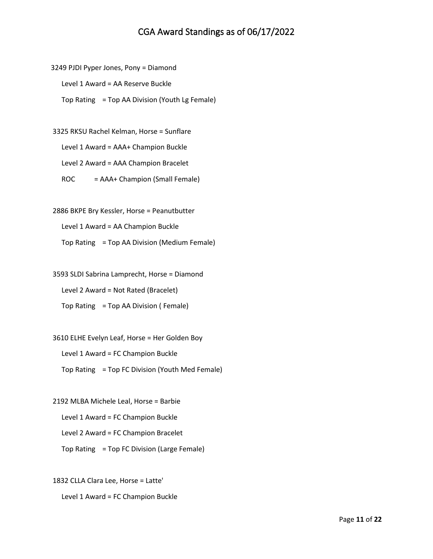3249 PJDI Pyper Jones, Pony = Diamond Level 1 Award = AA Reserve Buckle Top Rating = Top AA Division (Youth Lg Female)

3325 RKSU Rachel Kelman, Horse = Sunflare Level 1 Award = AAA+ Champion Buckle Level 2 Award = AAA Champion Bracelet ROC = AAA+ Champion (Small Female)

2886 BKPE Bry Kessler, Horse = Peanutbutter Level 1 Award = AA Champion Buckle Top Rating = Top AA Division (Medium Female)

3593 SLDI Sabrina Lamprecht, Horse = Diamond Level 2 Award = Not Rated (Bracelet) Top Rating = Top AA Division ( Female)

3610 ELHE Evelyn Leaf, Horse = Her Golden Boy Level 1 Award = FC Champion Buckle Top Rating = Top FC Division (Youth Med Female)

2192 MLBA Michele Leal, Horse = Barbie Level 1 Award = FC Champion Buckle Level 2 Award = FC Champion Bracelet Top Rating = Top FC Division (Large Female)

1832 CLLA Clara Lee, Horse = Latte' Level 1 Award = FC Champion Buckle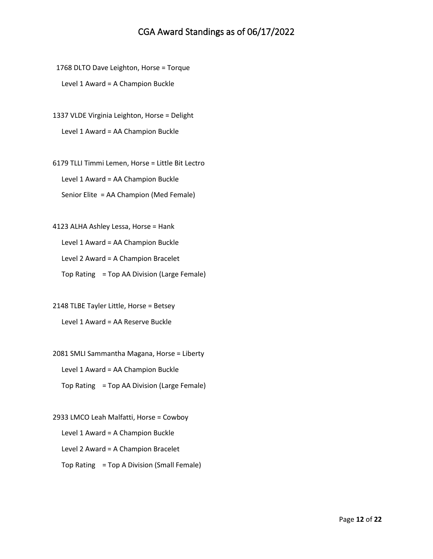1768 DLTO Dave Leighton, Horse = Torque Level 1 Award = A Champion Buckle

1337 VLDE Virginia Leighton, Horse = Delight Level 1 Award = AA Champion Buckle

6179 TLLI Timmi Lemen, Horse = Little Bit Lectro Level 1 Award = AA Champion Buckle Senior Elite = AA Champion (Med Female)

4123 ALHA Ashley Lessa, Horse = Hank Level 1 Award = AA Champion Buckle Level 2 Award = A Champion Bracelet Top Rating = Top AA Division (Large Female)

2148 TLBE Tayler Little, Horse = Betsey Level 1 Award = AA Reserve Buckle

2081 SMLI Sammantha Magana, Horse = Liberty Level 1 Award = AA Champion Buckle Top Rating = Top AA Division (Large Female)

2933 LMCO Leah Malfatti, Horse = Cowboy Level 1 Award = A Champion Buckle Level 2 Award = A Champion Bracelet Top Rating = Top A Division (Small Female)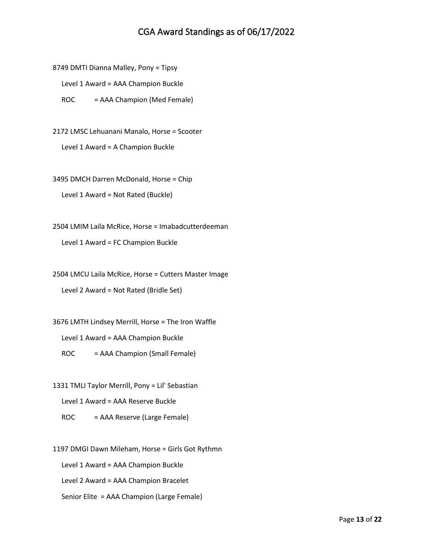8749 DMTI Dianna Malley, Pony = Tipsy

Level 1 Award = AAA Champion Buckle

ROC = AAA Champion (Med Female)

2172 LMSC Lehuanani Manalo, Horse = Scooter Level 1 Award = A Champion Buckle

3495 DMCH Darren McDonald, Horse = Chip Level 1 Award = Not Rated (Buckle)

2504 LMIM Laila McRice, Horse = Imabadcutterdeeman

Level 1 Award = FC Champion Buckle

2504 LMCU Laila McRice, Horse = Cutters Master Image

Level 2 Award = Not Rated (Bridle Set)

3676 LMTH Lindsey Merrill, Horse = The Iron Waffle

Level 1 Award = AAA Champion Buckle

ROC = AAA Champion (Small Female)

1331 TMLI Taylor Merrill, Pony = Lil' Sebastian

Level 1 Award = AAA Reserve Buckle

ROC = AAA Reserve (Large Female)

1197 DMGI Dawn Mileham, Horse = Girls Got Rythmn

Level 1 Award = AAA Champion Buckle

Level 2 Award = AAA Champion Bracelet

Senior Elite = AAA Champion (Large Female)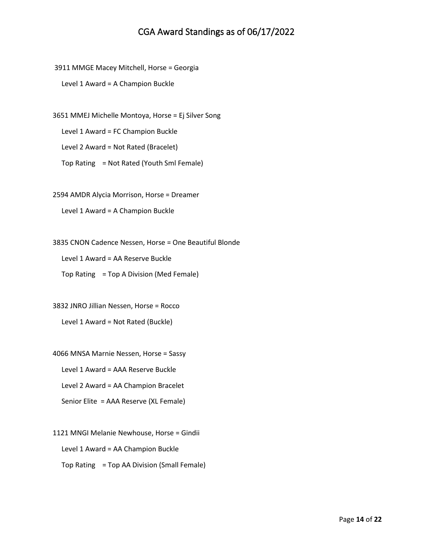3911 MMGE Macey Mitchell, Horse = Georgia

Level 1 Award = A Champion Buckle

3651 MMEJ Michelle Montoya, Horse = Ej Silver Song

Level 1 Award = FC Champion Buckle

Level 2 Award = Not Rated (Bracelet)

Top Rating = Not Rated (Youth Sml Female)

2594 AMDR Alycia Morrison, Horse = Dreamer

Level 1 Award = A Champion Buckle

3835 CNON Cadence Nessen, Horse = One Beautiful Blonde

Level 1 Award = AA Reserve Buckle

Top Rating = Top A Division (Med Female)

3832 JNRO Jillian Nessen, Horse = Rocco Level 1 Award = Not Rated (Buckle)

4066 MNSA Marnie Nessen, Horse = Sassy

Level 1 Award = AAA Reserve Buckle

Level 2 Award = AA Champion Bracelet

Senior Elite = AAA Reserve (XL Female)

1121 MNGI Melanie Newhouse, Horse = Gindii Level 1 Award = AA Champion Buckle Top Rating = Top AA Division (Small Female)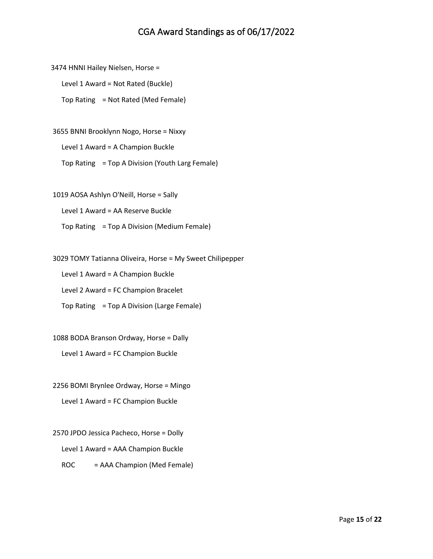3474 HNNI Hailey Nielsen, Horse =

Level 1 Award = Not Rated (Buckle)

Top Rating = Not Rated (Med Female)

3655 BNNI Brooklynn Nogo, Horse = Nixxy

Level 1 Award = A Champion Buckle

Top Rating = Top A Division (Youth Larg Female)

1019 AOSA Ashlyn O'Neill, Horse = Sally

Level 1 Award = AA Reserve Buckle

Top Rating = Top A Division (Medium Female)

3029 TOMY Tatianna Oliveira, Horse = My Sweet Chilipepper

Level 1 Award = A Champion Buckle

Level 2 Award = FC Champion Bracelet

Top Rating = Top A Division (Large Female)

1088 BODA Branson Ordway, Horse = Dally

Level 1 Award = FC Champion Buckle

2256 BOMI Brynlee Ordway, Horse = Mingo Level 1 Award = FC Champion Buckle

2570 JPDO Jessica Pacheco, Horse = Dolly Level 1 Award = AAA Champion Buckle ROC = AAA Champion (Med Female)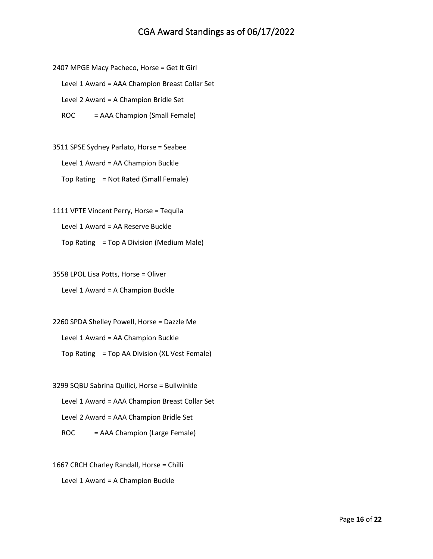2407 MPGE Macy Pacheco, Horse = Get It Girl

Level 1 Award = AAA Champion Breast Collar Set

Level 2 Award = A Champion Bridle Set

ROC = AAA Champion (Small Female)

3511 SPSE Sydney Parlato, Horse = Seabee Level 1 Award = AA Champion Buckle Top Rating = Not Rated (Small Female)

1111 VPTE Vincent Perry, Horse = Tequila Level 1 Award = AA Reserve Buckle Top Rating = Top A Division (Medium Male)

3558 LPOL Lisa Potts, Horse = Oliver Level 1 Award = A Champion Buckle

2260 SPDA Shelley Powell, Horse = Dazzle Me Level 1 Award = AA Champion Buckle Top Rating = Top AA Division (XL Vest Female)

3299 SQBU Sabrina Quilici, Horse = Bullwinkle Level 1 Award = AAA Champion Breast Collar Set Level 2 Award = AAA Champion Bridle Set ROC = AAA Champion (Large Female)

1667 CRCH Charley Randall, Horse = Chilli Level 1 Award = A Champion Buckle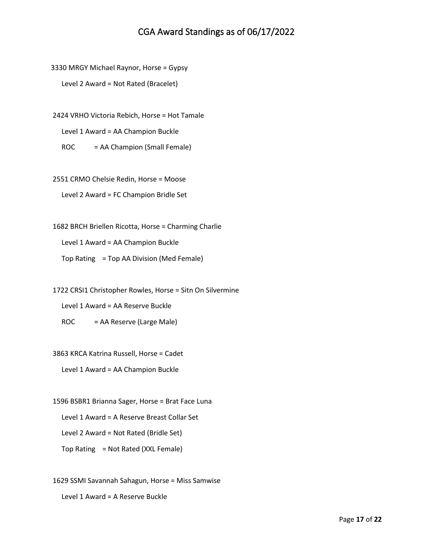3330 MRGY Michael Raynor, Horse = Gypsy

Level 2 Award = Not Rated (Bracelet)

2424 VRHO Victoria Rebich, Horse = Hot Tamale

Level 1 Award = AA Champion Buckle

ROC = AA Champion (Small Female)

2551 CRMO Chelsie Redin, Horse = Moose Level 2 Award = FC Champion Bridle Set

1682 BRCH Briellen Ricotta, Horse = Charming Charlie

Level 1 Award = AA Champion Buckle

Top Rating = Top AA Division (Med Female)

1722 CRSI1 Christopher Rowles, Horse = Sitn On Silvermine

Level 1 Award = AA Reserve Buckle

ROC = AA Reserve (Large Male)

3863 KRCA Katrina Russell, Horse = Cadet

Level 1 Award = AA Champion Buckle

1596 BSBR1 Brianna Sager, Horse = Brat Face Luna Level 1 Award = A Reserve Breast Collar Set Level 2 Award = Not Rated (Bridle Set) Top Rating = Not Rated (XXL Female)

1629 SSMI Savannah Sahagun, Horse = Miss Samwise

Level 1 Award = A Reserve Buckle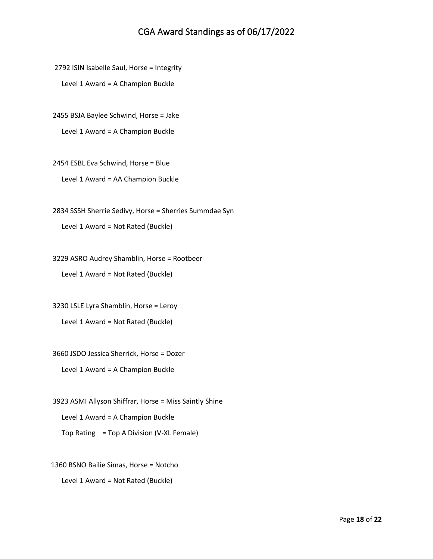2792 ISIN Isabelle Saul, Horse = Integrity

Level 1 Award = A Champion Buckle

2455 BSJA Baylee Schwind, Horse = Jake

Level 1 Award = A Champion Buckle

2454 ESBL Eva Schwind, Horse = Blue Level 1 Award = AA Champion Buckle

2834 SSSH Sherrie Sedivy, Horse = Sherries Summdae Syn Level 1 Award = Not Rated (Buckle)

3229 ASRO Audrey Shamblin, Horse = Rootbeer Level 1 Award = Not Rated (Buckle)

3230 LSLE Lyra Shamblin, Horse = Leroy Level 1 Award = Not Rated (Buckle)

3660 JSDO Jessica Sherrick, Horse = Dozer Level 1 Award = A Champion Buckle

3923 ASMI Allyson Shiffrar, Horse = Miss Saintly Shine Level 1 Award = A Champion Buckle Top Rating = Top A Division (V-XL Female)

1360 BSNO Bailie Simas, Horse = Notcho

Level 1 Award = Not Rated (Buckle)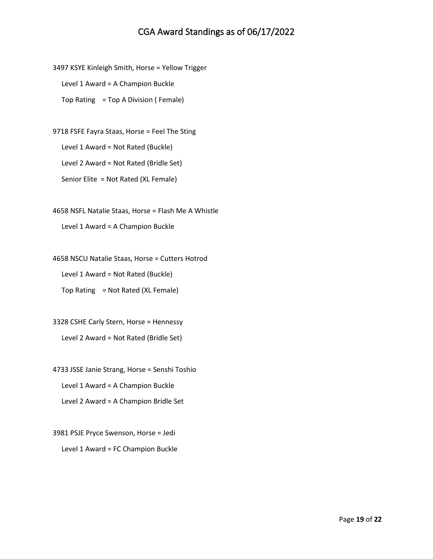3497 KSYE Kinleigh Smith, Horse = Yellow Trigger Level 1 Award = A Champion Buckle Top Rating = Top A Division ( Female)

9718 FSFE Fayra Staas, Horse = Feel The Sting Level 1 Award = Not Rated (Buckle) Level 2 Award = Not Rated (Bridle Set) Senior Elite = Not Rated (XL Female)

4658 NSFL Natalie Staas, Horse = Flash Me A Whistle Level 1 Award = A Champion Buckle

4658 NSCU Natalie Staas, Horse = Cutters Hotrod Level 1 Award = Not Rated (Buckle)

Top Rating = Not Rated (XL Female)

3328 CSHE Carly Stern, Horse = Hennessy Level 2 Award = Not Rated (Bridle Set)

4733 JSSE Janie Strang, Horse = Senshi Toshio Level 1 Award = A Champion Buckle Level 2 Award = A Champion Bridle Set

3981 PSJE Pryce Swenson, Horse = Jedi Level 1 Award = FC Champion Buckle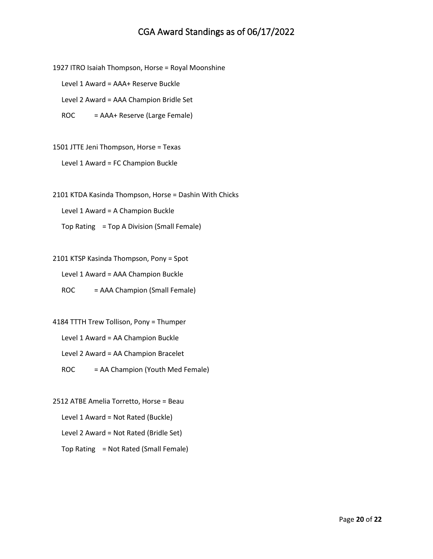1927 ITRO Isaiah Thompson, Horse = Royal Moonshine

Level 1 Award = AAA+ Reserve Buckle

Level 2 Award = AAA Champion Bridle Set

ROC = AAA+ Reserve (Large Female)

1501 JTTE Jeni Thompson, Horse = Texas

Level 1 Award = FC Champion Buckle

2101 KTDA Kasinda Thompson, Horse = Dashin With Chicks

Level 1 Award = A Champion Buckle

Top Rating = Top A Division (Small Female)

2101 KTSP Kasinda Thompson, Pony = Spot Level 1 Award = AAA Champion Buckle ROC = AAA Champion (Small Female)

4184 TTTH Trew Tollison, Pony = Thumper Level 1 Award = AA Champion Buckle Level 2 Award = AA Champion Bracelet ROC = AA Champion (Youth Med Female)

2512 ATBE Amelia Torretto, Horse = Beau Level 1 Award = Not Rated (Buckle) Level 2 Award = Not Rated (Bridle Set) Top Rating = Not Rated (Small Female)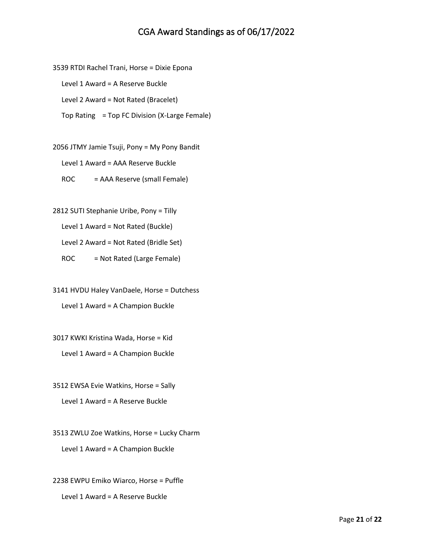3539 RTDI Rachel Trani, Horse = Dixie Epona

Level 1 Award = A Reserve Buckle

Level 2 Award = Not Rated (Bracelet)

Top Rating = Top FC Division (X-Large Female)

2056 JTMY Jamie Tsuji, Pony = My Pony Bandit Level 1 Award = AAA Reserve Buckle ROC = AAA Reserve (small Female)

2812 SUTI Stephanie Uribe, Pony = Tilly Level 1 Award = Not Rated (Buckle) Level 2 Award = Not Rated (Bridle Set)

ROC = Not Rated (Large Female)

3141 HVDU Haley VanDaele, Horse = Dutchess Level 1 Award = A Champion Buckle

3017 KWKI Kristina Wada, Horse = Kid Level 1 Award = A Champion Buckle

3512 EWSA Evie Watkins, Horse = Sally Level 1 Award = A Reserve Buckle

3513 ZWLU Zoe Watkins, Horse = Lucky Charm Level 1 Award = A Champion Buckle

2238 EWPU Emiko Wiarco, Horse = Puffle Level 1 Award = A Reserve Buckle